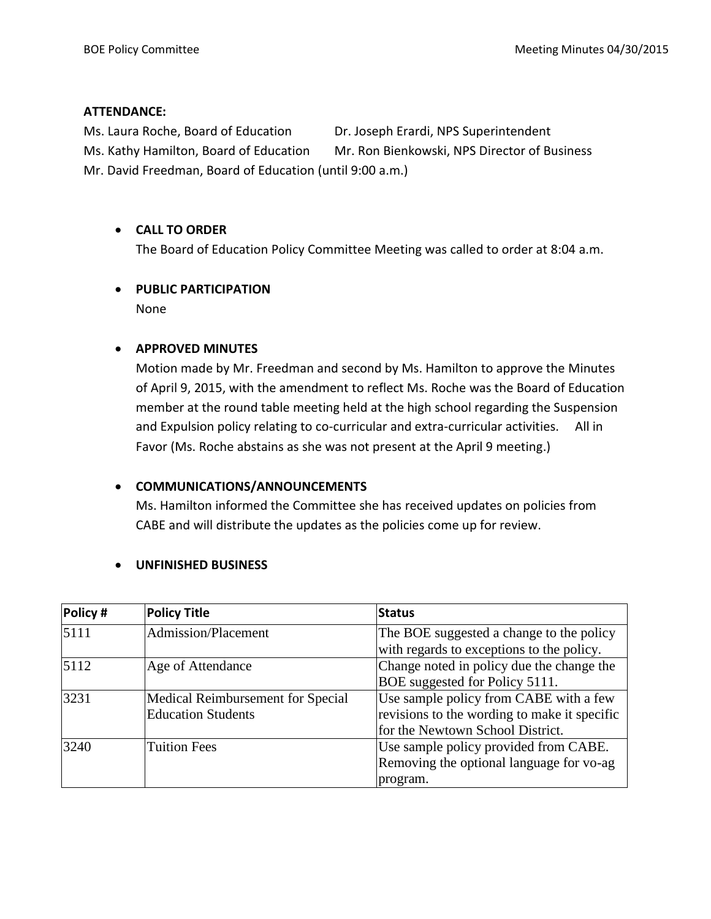## **ATTENDANCE:**

Ms. Laura Roche, Board of Education Dr. Joseph Erardi, NPS Superintendent Ms. Kathy Hamilton, Board of Education Mr. Ron Bienkowski, NPS Director of Business Mr. David Freedman, Board of Education (until 9:00 a.m.)

# **CALL TO ORDER**

The Board of Education Policy Committee Meeting was called to order at 8:04 a.m.

# **PUBLIC PARTICIPATION**

None

# **APPROVED MINUTES**

Motion made by Mr. Freedman and second by Ms. Hamilton to approve the Minutes of April 9, 2015, with the amendment to reflect Ms. Roche was the Board of Education member at the round table meeting held at the high school regarding the Suspension and Expulsion policy relating to co-curricular and extra-curricular activities. All in Favor (Ms. Roche abstains as she was not present at the April 9 meeting.)

## **COMMUNICATIONS/ANNOUNCEMENTS**

Ms. Hamilton informed the Committee she has received updates on policies from CABE and will distribute the updates as the policies come up for review.

## **UNFINISHED BUSINESS**

| Policy # | <b>Policy Title</b>               | Status                                       |
|----------|-----------------------------------|----------------------------------------------|
| 5111     | Admission/Placement               | The BOE suggested a change to the policy     |
|          |                                   | with regards to exceptions to the policy.    |
| 5112     | Age of Attendance                 | Change noted in policy due the change the    |
|          |                                   | BOE suggested for Policy 5111.               |
| 3231     | Medical Reimbursement for Special | Use sample policy from CABE with a few       |
|          | <b>Education Students</b>         | revisions to the wording to make it specific |
|          |                                   | for the Newtown School District.             |
| 3240     | <b>Tuition Fees</b>               | Use sample policy provided from CABE.        |
|          |                                   | Removing the optional language for vo-ag     |
|          |                                   | program.                                     |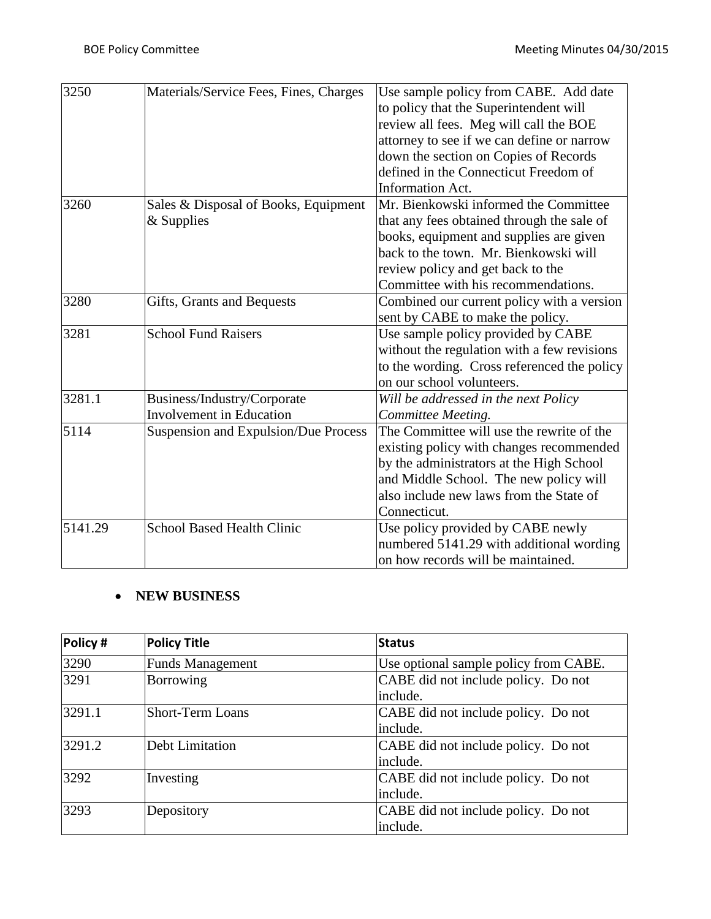| 3250    | Materials/Service Fees, Fines, Charges | Use sample policy from CABE. Add date       |  |
|---------|----------------------------------------|---------------------------------------------|--|
|         |                                        | to policy that the Superintendent will      |  |
|         |                                        | review all fees. Meg will call the BOE      |  |
|         |                                        | attorney to see if we can define or narrow  |  |
|         |                                        | down the section on Copies of Records       |  |
|         |                                        | defined in the Connecticut Freedom of       |  |
|         |                                        | <b>Information Act.</b>                     |  |
| 3260    | Sales & Disposal of Books, Equipment   | Mr. Bienkowski informed the Committee       |  |
|         | & Supplies                             | that any fees obtained through the sale of  |  |
|         |                                        | books, equipment and supplies are given     |  |
|         |                                        | back to the town. Mr. Bienkowski will       |  |
|         |                                        | review policy and get back to the           |  |
|         |                                        | Committee with his recommendations.         |  |
| 3280    | Gifts, Grants and Bequests             | Combined our current policy with a version  |  |
|         |                                        | sent by CABE to make the policy.            |  |
| 3281    | <b>School Fund Raisers</b>             | Use sample policy provided by CABE          |  |
|         |                                        | without the regulation with a few revisions |  |
|         |                                        | to the wording. Cross referenced the policy |  |
|         |                                        | on our school volunteers.                   |  |
| 3281.1  | Business/Industry/Corporate            | Will be addressed in the next Policy        |  |
|         | <b>Involvement</b> in Education        | Committee Meeting.                          |  |
| 5114    | Suspension and Expulsion/Due Process   | The Committee will use the rewrite of the   |  |
|         |                                        | existing policy with changes recommended    |  |
|         |                                        | by the administrators at the High School    |  |
|         |                                        | and Middle School. The new policy will      |  |
|         |                                        | also include new laws from the State of     |  |
|         |                                        | Connecticut.                                |  |
| 5141.29 | <b>School Based Health Clinic</b>      | Use policy provided by CABE newly           |  |
|         |                                        | numbered 5141.29 with additional wording    |  |
|         |                                        | on how records will be maintained.          |  |

# **NEW BUSINESS**

| Policy # | <b>Policy Title</b>     | <b>Status</b>                         |  |
|----------|-------------------------|---------------------------------------|--|
| 3290     | <b>Funds Management</b> | Use optional sample policy from CABE. |  |
| 3291     | Borrowing               | CABE did not include policy. Do not   |  |
|          |                         | include.                              |  |
| 3291.1   | <b>Short-Term Loans</b> | CABE did not include policy. Do not   |  |
|          |                         | include.                              |  |
| 3291.2   | Debt Limitation         | CABE did not include policy. Do not   |  |
|          |                         | include.                              |  |
| 3292     | Investing               | CABE did not include policy. Do not   |  |
|          |                         | include.                              |  |
| 3293     | Depository              | CABE did not include policy. Do not   |  |
|          |                         | include.                              |  |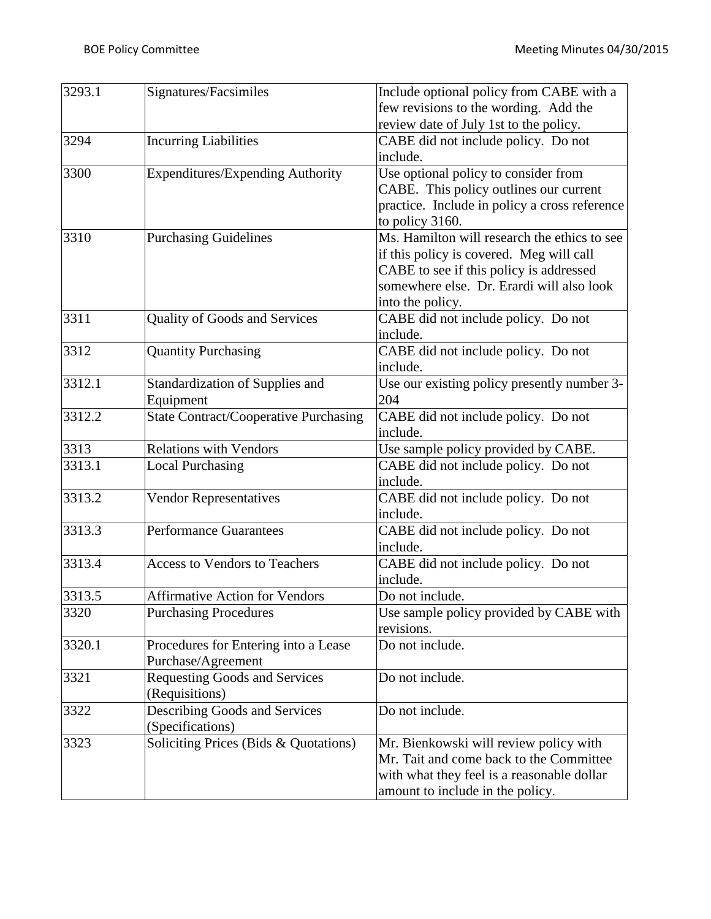| 3293.1 | Signatures/Facsimiles                        | Include optional policy from CABE with a      |  |
|--------|----------------------------------------------|-----------------------------------------------|--|
|        |                                              | few revisions to the wording. Add the         |  |
|        |                                              | review date of July 1st to the policy.        |  |
| 3294   | <b>Incurring Liabilities</b>                 | CABE did not include policy. Do not           |  |
|        |                                              | include.                                      |  |
| 3300   | <b>Expenditures/Expending Authority</b>      | Use optional policy to consider from          |  |
|        |                                              | CABE. This policy outlines our current        |  |
|        |                                              | practice. Include in policy a cross reference |  |
|        |                                              | to policy 3160.                               |  |
| 3310   | <b>Purchasing Guidelines</b>                 | Ms. Hamilton will research the ethics to see  |  |
|        |                                              | if this policy is covered. Meg will call      |  |
|        |                                              | CABE to see if this policy is addressed       |  |
|        |                                              | somewhere else. Dr. Erardi will also look     |  |
|        |                                              | into the policy.                              |  |
| 3311   | Quality of Goods and Services                | CABE did not include policy. Do not           |  |
|        |                                              | include.                                      |  |
| 3312   | <b>Quantity Purchasing</b>                   | CABE did not include policy. Do not           |  |
|        |                                              | include.                                      |  |
| 3312.1 | Standardization of Supplies and              | Use our existing policy presently number 3-   |  |
|        | Equipment                                    | 204                                           |  |
| 3312.2 | <b>State Contract/Cooperative Purchasing</b> | CABE did not include policy. Do not           |  |
|        |                                              | include.                                      |  |
| 3313   | <b>Relations with Vendors</b>                | Use sample policy provided by CABE.           |  |
| 3313.1 | <b>Local Purchasing</b>                      | CABE did not include policy. Do not           |  |
|        |                                              | include.                                      |  |
| 3313.2 | Vendor Representatives                       | CABE did not include policy. Do not           |  |
|        |                                              | include.                                      |  |
| 3313.3 | <b>Performance Guarantees</b>                | CABE did not include policy. Do not           |  |
|        |                                              | include.                                      |  |
| 3313.4 | <b>Access to Vendors to Teachers</b>         | CABE did not include policy. Do not           |  |
|        |                                              | include.                                      |  |
| 3313.5 | <b>Affirmative Action for Vendors</b>        | Do not include.                               |  |
| 3320   | <b>Purchasing Procedures</b>                 | Use sample policy provided by CABE with       |  |
|        |                                              | revisions.                                    |  |
| 3320.1 | Procedures for Entering into a Lease         | Do not include.                               |  |
|        | Purchase/Agreement                           |                                               |  |
| 3321   | <b>Requesting Goods and Services</b>         | Do not include.                               |  |
|        | (Requisitions)                               |                                               |  |
| 3322   | Describing Goods and Services                | Do not include.                               |  |
|        | (Specifications)                             |                                               |  |
| 3323   | Soliciting Prices (Bids & Quotations)        | Mr. Bienkowski will review policy with        |  |
|        |                                              | Mr. Tait and come back to the Committee       |  |
|        |                                              | with what they feel is a reasonable dollar    |  |
|        |                                              | amount to include in the policy.              |  |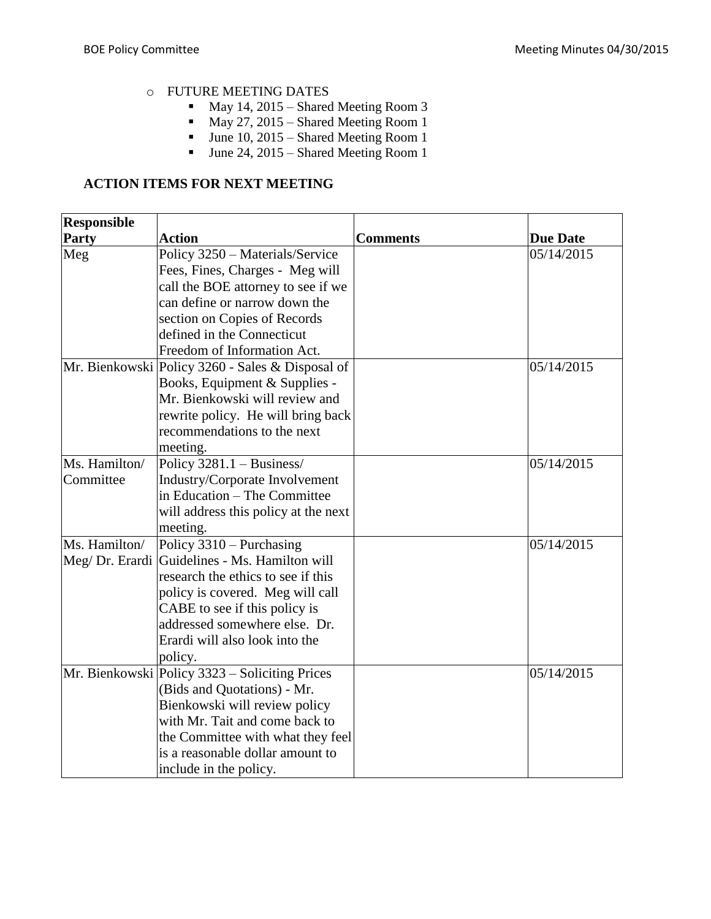# o FUTURE MEETING DATES

- May 14, 2015 Shared Meeting Room 3
- May 27, 2015 Shared Meeting Room 1
- $\blacksquare$  June 10, 2015 Shared Meeting Room 1
- Ullet 24, 2015 Shared Meeting Room 1

# **ACTION ITEMS FOR NEXT MEETING**

| <b>Responsible</b> |                                                  |                 |                 |
|--------------------|--------------------------------------------------|-----------------|-----------------|
| Party              | <b>Action</b>                                    | <b>Comments</b> | <b>Due Date</b> |
| Meg                | Policy 3250 - Materials/Service                  |                 | 05/14/2015      |
|                    | Fees, Fines, Charges - Meg will                  |                 |                 |
|                    | call the BOE attorney to see if we               |                 |                 |
|                    | can define or narrow down the                    |                 |                 |
|                    | section on Copies of Records                     |                 |                 |
|                    | defined in the Connecticut                       |                 |                 |
|                    | Freedom of Information Act.                      |                 |                 |
|                    | Mr. Bienkowski Policy 3260 - Sales & Disposal of |                 | 05/14/2015      |
|                    | Books, Equipment & Supplies -                    |                 |                 |
|                    | Mr. Bienkowski will review and                   |                 |                 |
|                    | rewrite policy. He will bring back               |                 |                 |
|                    | recommendations to the next                      |                 |                 |
|                    | meeting.                                         |                 |                 |
| Ms. Hamilton/      | Policy 3281.1 - Business/                        |                 | 05/14/2015      |
| Committee          | Industry/Corporate Involvement                   |                 |                 |
|                    | in Education - The Committee                     |                 |                 |
|                    | will address this policy at the next             |                 |                 |
|                    | meeting.                                         |                 |                 |
| Ms. Hamilton/      | Policy 3310 – Purchasing                         |                 | 05/14/2015      |
|                    | Meg/ Dr. Erardi Guidelines - Ms. Hamilton will   |                 |                 |
|                    | research the ethics to see if this               |                 |                 |
|                    | policy is covered. Meg will call                 |                 |                 |
|                    | CABE to see if this policy is                    |                 |                 |
|                    | addressed somewhere else. Dr.                    |                 |                 |
|                    | Erardi will also look into the                   |                 |                 |
|                    | policy.                                          |                 |                 |
|                    | Mr. Bienkowski Policy 3323 – Soliciting Prices   |                 | 05/14/2015      |
|                    | (Bids and Quotations) - Mr.                      |                 |                 |
|                    | Bienkowski will review policy                    |                 |                 |
|                    | with Mr. Tait and come back to                   |                 |                 |
|                    | the Committee with what they feel                |                 |                 |
|                    | is a reasonable dollar amount to                 |                 |                 |
|                    | include in the policy.                           |                 |                 |